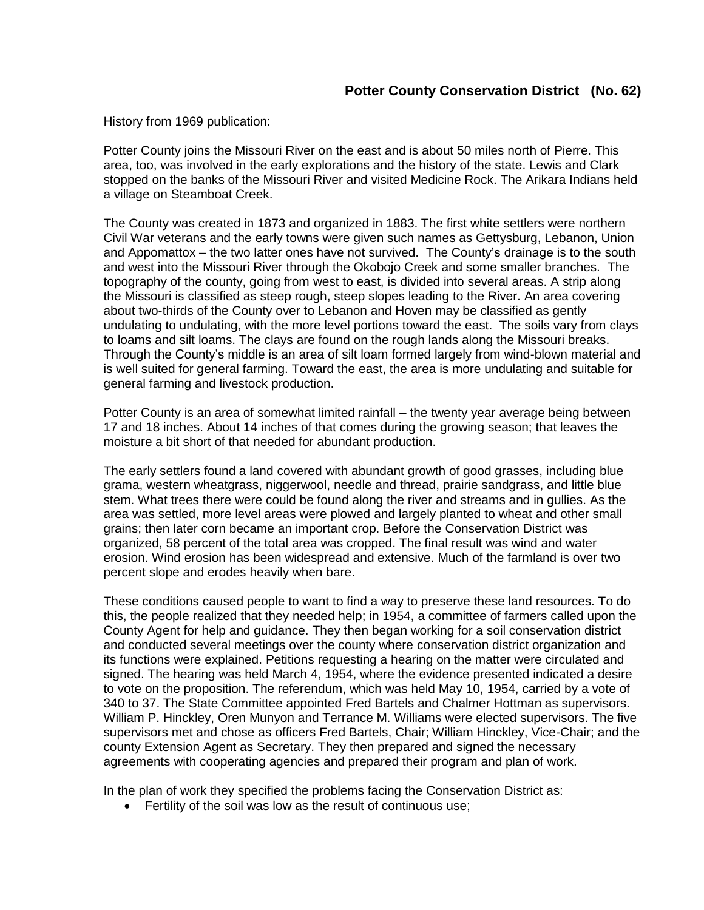History from 1969 publication:

Potter County joins the Missouri River on the east and is about 50 miles north of Pierre. This area, too, was involved in the early explorations and the history of the state. Lewis and Clark stopped on the banks of the Missouri River and visited Medicine Rock. The Arikara Indians held a village on Steamboat Creek.

The County was created in 1873 and organized in 1883. The first white settlers were northern Civil War veterans and the early towns were given such names as Gettysburg, Lebanon, Union and Appomattox – the two latter ones have not survived. The County's drainage is to the south and west into the Missouri River through the Okobojo Creek and some smaller branches. The topography of the county, going from west to east, is divided into several areas. A strip along the Missouri is classified as steep rough, steep slopes leading to the River. An area covering about two-thirds of the County over to Lebanon and Hoven may be classified as gently undulating to undulating, with the more level portions toward the east. The soils vary from clays to loams and silt loams. The clays are found on the rough lands along the Missouri breaks. Through the County's middle is an area of silt loam formed largely from wind-blown material and is well suited for general farming. Toward the east, the area is more undulating and suitable for general farming and livestock production.

Potter County is an area of somewhat limited rainfall – the twenty year average being between 17 and 18 inches. About 14 inches of that comes during the growing season; that leaves the moisture a bit short of that needed for abundant production.

The early settlers found a land covered with abundant growth of good grasses, including blue grama, western wheatgrass, niggerwool, needle and thread, prairie sandgrass, and little blue stem. What trees there were could be found along the river and streams and in gullies. As the area was settled, more level areas were plowed and largely planted to wheat and other small grains; then later corn became an important crop. Before the Conservation District was organized, 58 percent of the total area was cropped. The final result was wind and water erosion. Wind erosion has been widespread and extensive. Much of the farmland is over two percent slope and erodes heavily when bare.

These conditions caused people to want to find a way to preserve these land resources. To do this, the people realized that they needed help; in 1954, a committee of farmers called upon the County Agent for help and guidance. They then began working for a soil conservation district and conducted several meetings over the county where conservation district organization and its functions were explained. Petitions requesting a hearing on the matter were circulated and signed. The hearing was held March 4, 1954, where the evidence presented indicated a desire to vote on the proposition. The referendum, which was held May 10, 1954, carried by a vote of 340 to 37. The State Committee appointed Fred Bartels and Chalmer Hottman as supervisors. William P. Hinckley, Oren Munyon and Terrance M. Williams were elected supervisors. The five supervisors met and chose as officers Fred Bartels, Chair; William Hinckley, Vice-Chair; and the county Extension Agent as Secretary. They then prepared and signed the necessary agreements with cooperating agencies and prepared their program and plan of work.

In the plan of work they specified the problems facing the Conservation District as:

• Fertility of the soil was low as the result of continuous use;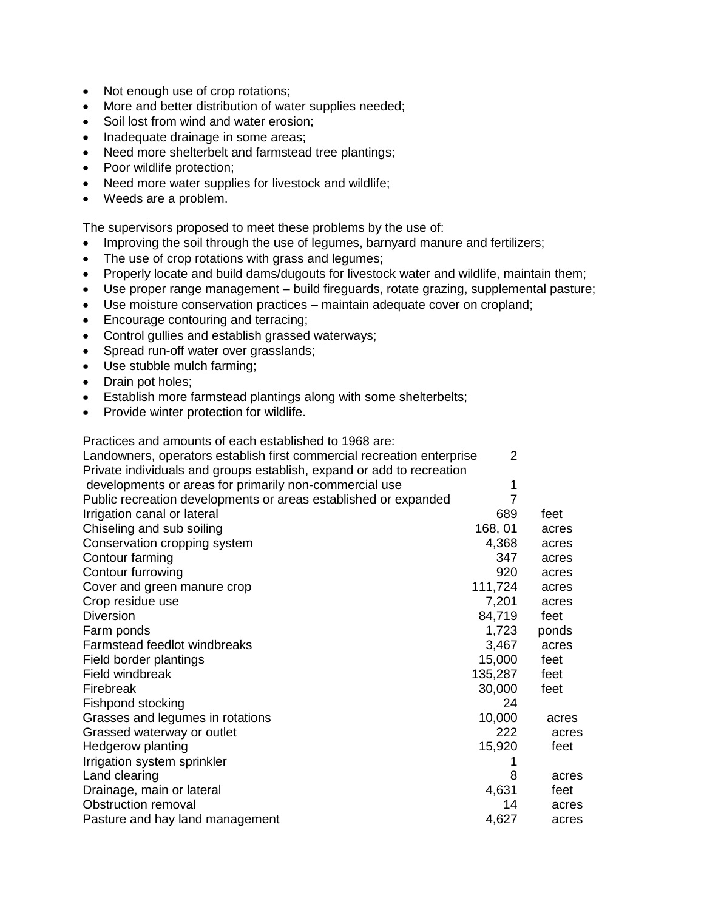- Not enough use of crop rotations;
- More and better distribution of water supplies needed;
- Soil lost from wind and water erosion;
- Inadequate drainage in some areas;
- Need more shelterbelt and farmstead tree plantings;
- Poor wildlife protection;
- Need more water supplies for livestock and wildlife;
- Weeds are a problem.

The supervisors proposed to meet these problems by the use of:

- Improving the soil through the use of legumes, barnyard manure and fertilizers;
- The use of crop rotations with grass and legumes;
- Properly locate and build dams/dugouts for livestock water and wildlife, maintain them;
- Use proper range management build fireguards, rotate grazing, supplemental pasture;
- Use moisture conservation practices maintain adequate cover on cropland;
- Encourage contouring and terracing;
- Control gullies and establish grassed waterways;
- Spread run-off water over grasslands;
- Use stubble mulch farming;
- Drain pot holes:
- Establish more farmstead plantings along with some shelterbelts;
- Provide winter protection for wildlife.

Practices and amounts of each established to 1968 are:

| Landowners, operators establish first commercial recreation enterprise | 2              |       |
|------------------------------------------------------------------------|----------------|-------|
| Private individuals and groups establish, expand or add to recreation  |                |       |
| developments or areas for primarily non-commercial use                 | 1              |       |
| Public recreation developments or areas established or expanded        | $\overline{7}$ |       |
| Irrigation canal or lateral                                            | 689            | feet  |
| Chiseling and sub soiling                                              | 168, 01        | acres |
| Conservation cropping system                                           | 4,368          | acres |
| Contour farming                                                        | 347            | acres |
| Contour furrowing                                                      | 920            | acres |
| Cover and green manure crop                                            | 111,724        | acres |
| Crop residue use                                                       | 7,201          | acres |
| <b>Diversion</b>                                                       | 84,719         | feet  |
| Farm ponds                                                             | 1,723          | ponds |
| Farmstead feedlot windbreaks                                           | 3,467          | acres |
| Field border plantings                                                 | 15,000         | feet  |
| Field windbreak                                                        | 135,287        | feet  |
| Firebreak                                                              | 30,000         | feet  |
| Fishpond stocking                                                      | 24             |       |
| Grasses and legumes in rotations                                       | 10,000         | acres |
| Grassed waterway or outlet                                             | 222            | acres |
| <b>Hedgerow planting</b>                                               | 15,920         | feet  |
| Irrigation system sprinkler                                            | 1              |       |
| Land clearing                                                          | 8              | acres |
| Drainage, main or lateral                                              | 4,631          | feet  |
| Obstruction removal                                                    | 14             | acres |
| Pasture and hay land management                                        | 4,627          | acres |